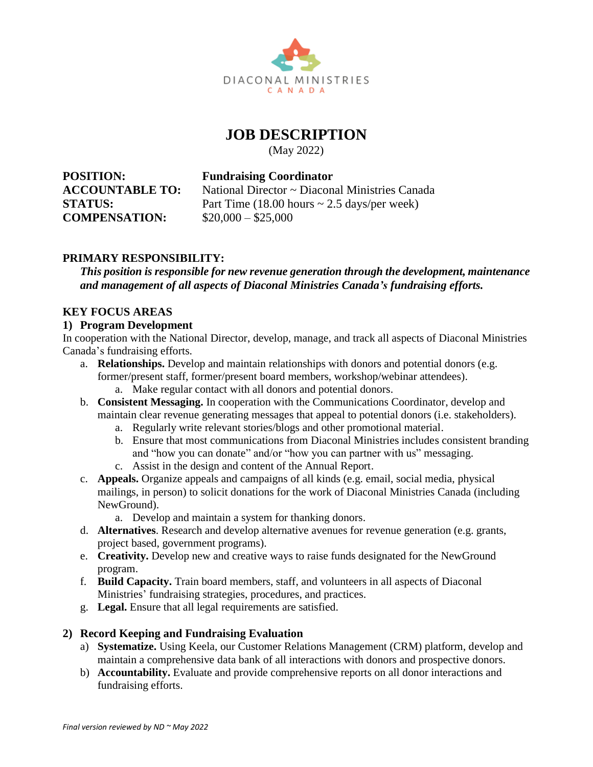

# **JOB DESCRIPTION**

(May 2022)

**POSITION: Fundraising Coordinator COMPENSATION:** \$20,000 – \$25,000

**ACCOUNTABLE TO:** National Director ~ Diaconal Ministries Canada

**STATUS:** Part Time (18.00 hours ~ 2.5 days/per week)

# **PRIMARY RESPONSIBILITY:**

*This position is responsible for new revenue generation through the development, maintenance and management of all aspects of Diaconal Ministries Canada's fundraising efforts.* 

## **KEY FOCUS AREAS**

#### **1) Program Development**

In cooperation with the National Director, develop, manage, and track all aspects of Diaconal Ministries Canada's fundraising efforts.

- a. **Relationships.** Develop and maintain relationships with donors and potential donors (e.g. former/present staff, former/present board members, workshop/webinar attendees).
	- a. Make regular contact with all donors and potential donors.
- b. **Consistent Messaging.** In cooperation with the Communications Coordinator, develop and maintain clear revenue generating messages that appeal to potential donors (i.e. stakeholders).
	- a. Regularly write relevant stories/blogs and other promotional material.
	- b. Ensure that most communications from Diaconal Ministries includes consistent branding and "how you can donate" and/or "how you can partner with us" messaging.
	- c. Assist in the design and content of the Annual Report.
- c. **Appeals.** Organize appeals and campaigns of all kinds (e.g. email, social media, physical mailings, in person) to solicit donations for the work of Diaconal Ministries Canada (including NewGround).
	- a. Develop and maintain a system for thanking donors.
- d. **Alternatives**. Research and develop alternative avenues for revenue generation (e.g. grants, project based, government programs).
- e. **Creativity.** Develop new and creative ways to raise funds designated for the NewGround program.
- f. **Build Capacity.** Train board members, staff, and volunteers in all aspects of Diaconal Ministries' fundraising strategies, procedures, and practices.
- g. **Legal.** Ensure that all legal requirements are satisfied.

# **2) Record Keeping and Fundraising Evaluation**

- a) **Systematize.** Using Keela, our Customer Relations Management (CRM) platform, develop and maintain a comprehensive data bank of all interactions with donors and prospective donors.
- b) **Accountability.** Evaluate and provide comprehensive reports on all donor interactions and fundraising efforts.